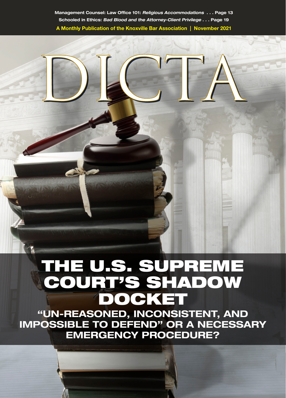Management Counsel: Law Office 101: Religious Accommodations . . . Page 13 Schooled in Ethics: Bad Blood and the Attorney-Client Privilege . . . Page 19 A Monthly Publication of the Knoxville Bar Association | November 2021

## DOCKET THE U.S. SUPREME COURT'S SHADOW

**ULASSION** 

"UN-REASONED, INCONSISTENT, AND IMPOSSIBLE TO DEFEND" OR A NECESSARY EMERGENCY PROCEDURE?